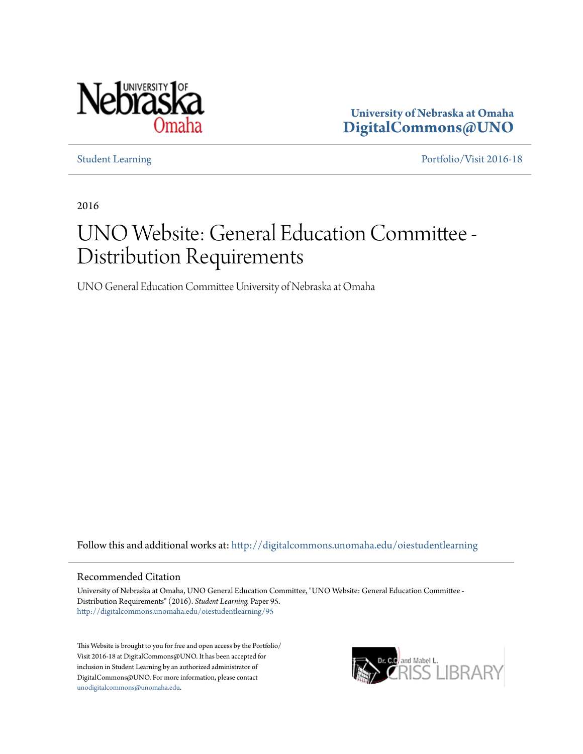

**University of Nebraska at Omaha [DigitalCommons@UNO](http://digitalcommons.unomaha.edu?utm_source=digitalcommons.unomaha.edu%2Foiestudentlearning%2F95&utm_medium=PDF&utm_campaign=PDFCoverPages)**

[Student Learning](http://digitalcommons.unomaha.edu/oiestudentlearning?utm_source=digitalcommons.unomaha.edu%2Foiestudentlearning%2F95&utm_medium=PDF&utm_campaign=PDFCoverPages) [Portfolio/Visit 2016-18](http://digitalcommons.unomaha.edu/oieportfolio?utm_source=digitalcommons.unomaha.edu%2Foiestudentlearning%2F95&utm_medium=PDF&utm_campaign=PDFCoverPages)

2016

## UNO Website: General Education Committee - Distribution Requirements

UNO General Education Committee University of Nebraska at Omaha

Follow this and additional works at: [http://digitalcommons.unomaha.edu/oiestudentlearning](http://digitalcommons.unomaha.edu/oiestudentlearning?utm_source=digitalcommons.unomaha.edu%2Foiestudentlearning%2F95&utm_medium=PDF&utm_campaign=PDFCoverPages)

#### Recommended Citation

University of Nebraska at Omaha, UNO General Education Committee, "UNO Website: General Education Committee - Distribution Requirements" (2016). *Student Learning.* Paper 95. [http://digitalcommons.unomaha.edu/oiestudentlearning/95](http://digitalcommons.unomaha.edu/oiestudentlearning/95?utm_source=digitalcommons.unomaha.edu%2Foiestudentlearning%2F95&utm_medium=PDF&utm_campaign=PDFCoverPages)

This Website is brought to you for free and open access by the Portfolio/ Visit 2016-18 at DigitalCommons@UNO. It has been accepted for inclusion in Student Learning by an authorized administrator of DigitalCommons@UNO. For more information, please contact [unodigitalcommons@unomaha.edu](mailto:unodigitalcommons@unomaha.edu).

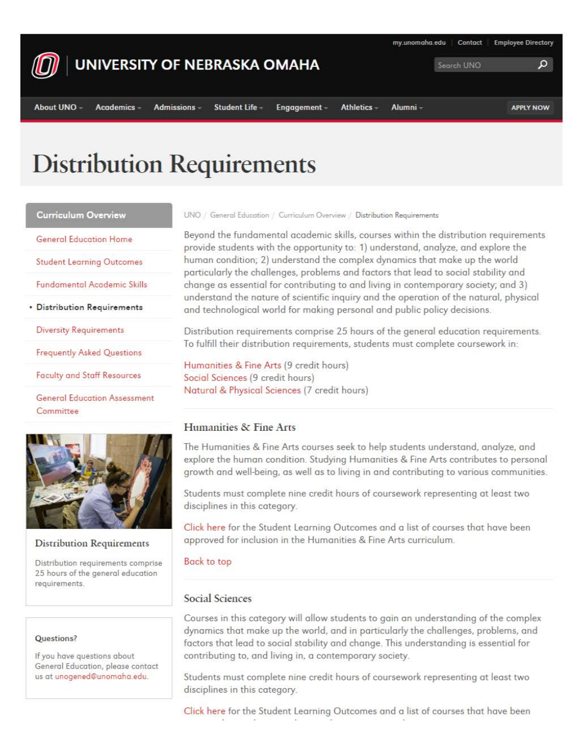

### UNIVERSITY OF NEBRASKA OMAHA

Academics -

Student Life

Engagement -

my.unomaha.edu

**Employee Directory** 

ا م

Contact

Search UNO

# **Distribution Requirements**

Admissions -

**Curriculum Overview** 

General Education Home

**Student Learning Outcomes** 

Fundamental Academic Skills

• **Distribution Requirements** 

Diversity Requirements

Frequently Asked Questions

**Faculty and Staff Resources** 

**General Education Assessment** Committee



### **Distribution Requirements**

Distribution requirements comprise 25 hours of the general education requirements.

#### Questions?

If you hove questions about General Education, please contact us at unogened@unomoho.edu.

UNO / General Education / Curriculum Overview / Distribution Requirements

Beyond the fundomental academic skills, courses within the distribution requirements provide students with the opportunity to: 1) understand, analyze, and explore the human condition; 2) understand the complex dynamics that make up the world particularly the challenges, problems and factors that lead to social stability and change as essential for contributing to and living in contemporary society; and 3) understand the nature of scientific inquiry and the operation of the natural, physical and technological world for making personal and public policy decisions.

Distribution requirements comprise 25 hours of the general education requirements. To fulfill their distribution requirements, students must complete coursework in:

Humanities & Fine Arts (9 credit hours) Social Sciences (9 credit hours) Naturol & Physical Sciences (7 credit hours)

### Humanities & Fine Arts

The Humanities & Fine Arts courses seek to help students understand, analyze, and explore the human condition. Studying Humanities & Fine Arts contributes to personal growth and well-being, as well as to living in and contributing to various communities.

Students must complete nine credit hours of coursework representing at least two disciplines in this category.

Click here for the Student learning Outcomes and a list of courses that have been approved for inclusion in the Humanities & Fine Arts curriculum.

#### Back to top

### Social Sciences

Courses in this category will allow students to gain an understanding of the complex dynamics that make up the world, and in particularly the challenges, problems, and factors that lead to social stability and change. This understanding is essential for contributing to, and living in, a contemporary society.

Students must complete nine credit hours of coursework representing at least two disciplines in this category.

Click here for the Student learning Outcomes and a list of courses that have been